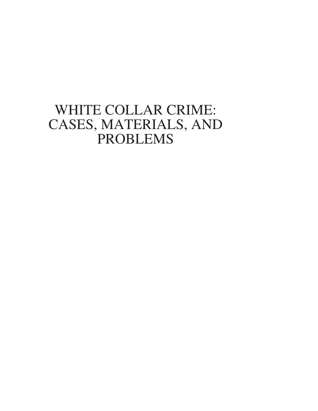# WHITE COLLAR CRIME: CASES, MATERIALS, AND PROBLEMS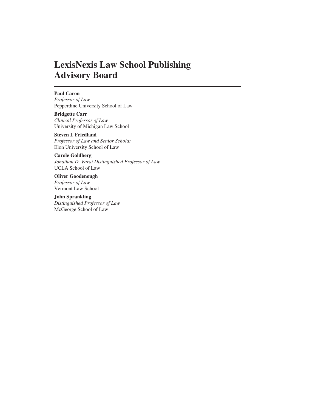## **LexisNexis Law School Publishing Advisory Board**

### **Paul Caron**

*Professor of Law* Pepperdine University School of Law

**Bridgette Carr** *Clinical Professor of Law* University of Michigan Law School

**Steven I. Friedland** *Professor of Law and Senior Scholar* Elon University School of Law

**Carole Goldberg** *Jonathan D. Varat Distinguished Professor of Law* UCLA School of Law

**Oliver Goodenough** *Professor of Law* Vermont Law School

**John Sprankling** *Distinguished Professor of Law* McGeorge School of Law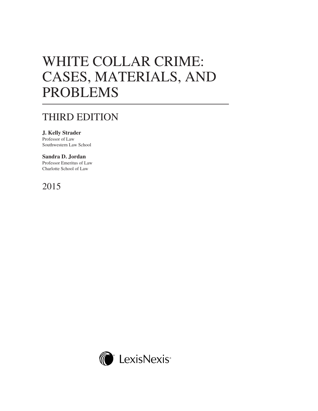# WHITE COLLAR CRIME: CASES, MATERIALS, AND PROBLEMS

# THIRD EDITION

**J. Kelly Strader** Professor of Law Southwestern Law School

### **Sandra D. Jordan**

Professor Emeritus of Law Charlotte School of Law

## 2015

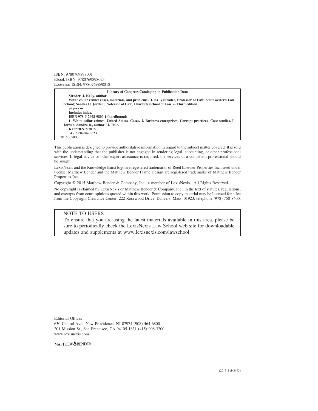ISBN: 9780769898001 Ebook ISBN: 9780769898025 Looseleaf ISBN: 9780769898018

#### **Library of Congress Cataloging-in-Publication Data Strader, J. Kelly, author. White collar crime: cases, materials, and problems / J. Kelly Strader, Professor of Law, Southwestern Law School; Sandra D. Jordan, Professor of Law, Charlotte School of Law. -- Third edition. pages cm Includes index. ISBN 978-0-7698-9800-1 (hardbound) 1. White collar crimes--United States--Cases. 2. Business enterprises--Corrupt practices--Case studies. I. Jordan, Sandra D., author. II. Title. KF9350.S78 2015 345.73'0268--dc23** 2015005803

This publication is designed to provide authoritative information in regard to the subject matter covered. It is sold with the understanding that the publisher is not engaged in rendering legal, accounting, or other professional services. If legal advice or other expert assistance is required, the services of a competent professional should be sought.

LexisNexis and the Knowledge Burst logo are registered trademarks of Reed Elsevier Properties Inc., used under license. Matthew Bender and the Matthew Bender Flame Design are registered trademarks of Matthew Bender Properties Inc.

Copyright © 2015 Matthew Bender & Company, Inc., a member of LexisNexis. All Rights Reserved.

No copyright is claimed by LexisNexis or Matthew Bender & Company, Inc., in the text of statutes, regulations, and excerpts from court opinions quoted within this work. Permission to copy material may be licensed for a fee from the Copyright Clearance Center, 222 Rosewood Drive, Danvers, Mass. 01923, telephone (978) 750-8400.

### NOTE TO USERS

To ensure that you are using the latest materials available in this area, please be sure to periodically check the LexisNexis Law School web site for downloadable updates and supplements at www.lexisnexis.com/lawschool.

Editorial Offices 630 Central Ave., New Providence, NJ 07974 (908) 464-6800 201 Mission St., San Francisco, CA 94105-1831 (415) 908-3200 www.lexisnexis.com

MATTHEW<sup>OBENDER</sup>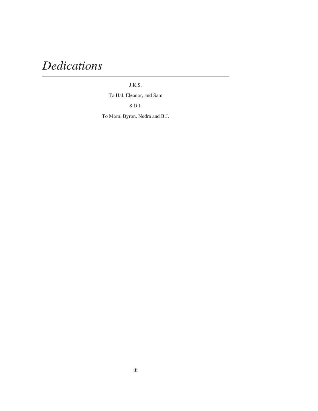# *Dedications*

### J.K.S.

To Hal, Eleanor, and Sam

S.D.J.

To Mom, Byron, Nedra and B.J.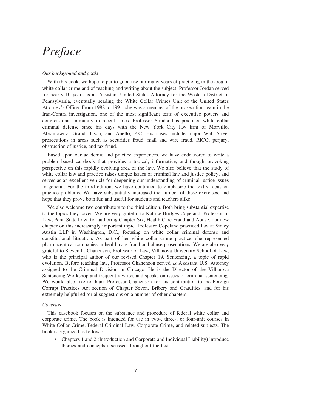# *Preface*

### *Our background and goals*

With this book, we hope to put to good use our many years of practicing in the area of white collar crime and of teaching and writing about the subject. Professor Jordan served for nearly 10 years as an Assistant United States Attorney for the Western District of Pennsylvania, eventually heading the White Collar Crimes Unit of the United States Attorney's Office. From 1988 to 1991, she was a member of the prosecution team in the Iran-Contra investigation, one of the most significant tests of executive powers and congressional immunity in recent times. Professor Strader has practiced white collar criminal defense since his days with the New York City law firm of Morvillo, Abramowitz, Grand, Iason, and Anello, P.C. His cases include major Wall Street prosecutions in areas such as securities fraud, mail and wire fraud, RICO, perjury, obstruction of justice, and tax fraud.

Based upon our academic and practice experiences, we have endeavored to write a problem-based casebook that provides a topical, informative, and thought-provoking perspective on this rapidly evolving area of the law. We also believe that the study of white collar law and practice raises unique issues of criminal law and justice policy, and serves as an excellent vehicle for deepening our understanding of criminal justice issues in general. For the third edition, we have continued to emphasize the text's focus on practice problems. We have substantially increased the number of these exercises, and hope that they prove both fun and useful for students and teachers alike.

We also welcome two contributors to the third edition. Both bring substantial expertise to the topics they cover. We are very grateful to Katrice Bridges Copeland, Professor of Law, Penn State Law, for authoring Chapter Six, Health Care Fraud and Abuse, our new chapter on this increasingly important topic. Professor Copeland practiced law at Sidley Austin LLP in Washington, D.C., focusing on white collar criminal defense and constitutional litigation. As part of her white collar crime practice, she represented pharmaceutical companies in health care fraud and abuse prosecutions. We are also very grateful to Steven L. Chanenson, Professor of Law, Villanova University School of Law, who is the principal author of our revised Chapter 19, Sentencing, a topic of rapid evolution. Before teaching law, Professor Chanenson served as Assistant U.S. Attorney assigned to the Criminal Division in Chicago. He is the Director of the Villanova Sentencing Workshop and frequently writes and speaks on issues of criminal sentencing. We would also like to thank Professor Chanenson for his contribution to the Foreign Corrupt Practices Act section of Chapter Seven, Bribery and Gratuities, and for his extremely helpful editorial suggestions on a number of other chapters.

### *Coverage*

This casebook focuses on the substance and procedure of federal white collar and corporate crime. The book is intended for use in two-, three-, or four-unit courses in White Collar Crime, Federal Criminal Law, Corporate Crime, and related subjects. The book is organized as follows:

• Chapters 1 and 2 (Introduction and Corporate and Individual Liability) introduce themes and concepts discussed throughout the text.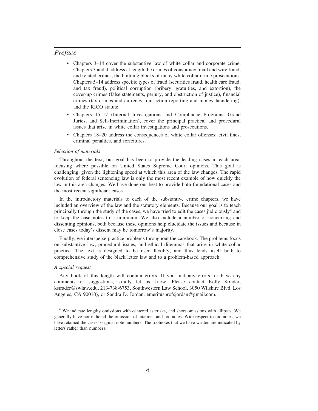### *Preface*

- Chapters 3–14 cover the substantive law of white collar and corporate crime. Chapters 3 and 4 address at length the crimes of conspiracy, mail and wire fraud, and related crimes, the building blocks of many white collar crime prosecutions. Chapters 5–14 address specific types of fraud (securities fraud, health care fraud, and tax fraud), political corruption (bribery, gratuities, and extortion), the cover-up crimes (false statements, perjury, and obstruction of justice), financial crimes (tax crimes and currency transaction reporting and money laundering), and the RICO statute.
- Chapters 15–17 (Internal Investigations and Compliance Programs, Grand Juries, and Self-Incrimination), cover the principal practical and procedural issues that arise in white collar investigations and prosecutions.
- Chapters 18–20 address the consequences of white collar offenses: civil fines, criminal penalties, and forfeitures.

#### *Selection of materials*

Throughout the text, our goal has been to provide the leading cases in each area, focusing where possible on United States Supreme Court opinions. This goal is challenging, given the lightening speed at which this area of the law changes. The rapid evolution of federal sentencing law is only the most recent example of how quickly the law in this area changes. We have done our best to provide both foundational cases and the most recent significant cases.

In the introductory materials to each of the substantive crime chapters, we have included an overview of the law and the statutory elements. Because our goal is to teach principally through the study of the cases, we have tried to edit the cases judiciously\* and to keep the case notes to a minimum. We also include a number of concurring and dissenting opinions, both because these opinions help elucidate the issues and because in close cases today's dissent may be tomorrow's majority.

Finally, we intersperse practice problems throughout the casebook. The problems focus on substantive law, procedural issues, and ethical dilemmas that arise in white collar practice. The text is designed to be used flexibly, and thus lends itself both to comprehensive study of the black letter law and to a problem-based approach.

#### *A special request*

Any book of this length will contain errors. If you find any errors, or have any comments or suggestions, kindly let us know. Please contact Kelly Strader, kstrader@swlaw.edu, 213-738-6753, Southwestern Law School, 3050 Wilshire Blvd, Los Angeles, CA 90010), or Sandra D. Jordan, emeritusprofsjordan@gmail.com.

<sup>\*</sup> We indicate lengthy omissions with centered asterisks, and short omissions with ellipses. We generally have not indicted the omission of citations and footnotes. With respect to footnotes, we have retained the cases' original note numbers. The footnotes that we have written are indicated by letters rather than numbers.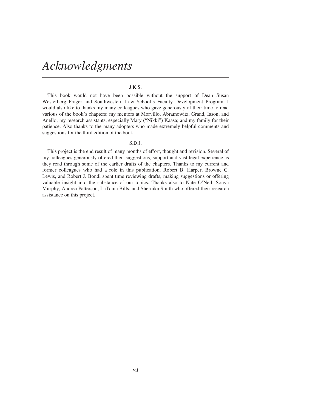# *Acknowledgments*

#### J.K.S.

This book would not have been possible without the support of Dean Susan Westerberg Prager and Southwestern Law School's Faculty Development Program. I would also like to thanks my many colleagues who gave generously of their time to read various of the book's chapters; my mentors at Morvillo, Abramowitz, Grand, Iason, and Anello; my research assistants, especially Mary ("Nikki") Kaasa; and my family for their patience. Also thanks to the many adopters who made extremely helpful comments and suggestions for the third edition of the book.

#### S.D.J.

This project is the end result of many months of effort, thought and revision. Several of my colleagues generously offered their suggestions, support and vast legal experience as they read through some of the earlier drafts of the chapters. Thanks to my current and former colleagues who had a role in this publication. Robert B. Harper, Browne C. Lewis, and Robert J. Bondi spent time reviewing drafts, making suggestions or offering valuable insight into the substance of our topics. Thanks also to Nate O'Neil, Sonya Murphy, Andrea Patterson, LaTonia Bills, and Shernika Smith who offered their research assistance on this project.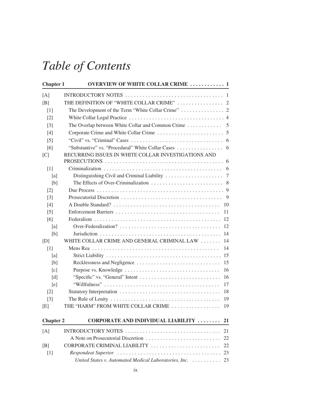| <b>Chapter 1</b>  | <b>OVERVIEW OF WHITE COLLAR CRIME  1</b>                                                                 |    |
|-------------------|----------------------------------------------------------------------------------------------------------|----|
| [A]               | INTRODUCTORY NOTES $\ldots \ldots \ldots \ldots \ldots \ldots \ldots \ldots \ldots \ldots \ldots \ldots$ |    |
| [B]               | THE DEFINITION OF "WHITE COLLAR CRIME"  2                                                                |    |
| $\lceil 1 \rceil$ |                                                                                                          |    |
| $\lceil 2 \rceil$ |                                                                                                          |    |
| $\lceil 3 \rceil$ |                                                                                                          |    |
| [4]               |                                                                                                          |    |
| $\lceil 5 \rceil$ |                                                                                                          |    |
| [6]               |                                                                                                          |    |
| [C]               | RECURRING ISSUES IN WHITE COLLAR INVESTIGATIONS AND                                                      |    |
| $[1]$             |                                                                                                          |    |
| [a]               |                                                                                                          |    |
| [b]               |                                                                                                          |    |
| $\lceil 2 \rceil$ |                                                                                                          |    |
| $\lceil 3 \rceil$ |                                                                                                          |    |
| [4]               |                                                                                                          | 10 |
| $\lceil 5 \rceil$ |                                                                                                          | 11 |
| [6]               |                                                                                                          |    |
| [a]               |                                                                                                          | 12 |
| [b]               |                                                                                                          | 14 |
| [D]               | WHITE COLLAR CRIME AND GENERAL CRIMINAL LAW                                                              | 14 |
| $\lceil 1 \rceil$ |                                                                                                          | 14 |
| [a]               |                                                                                                          |    |
| [b]               |                                                                                                          | 15 |
| $\lceil c \rceil$ |                                                                                                          | 16 |
| [d]               |                                                                                                          | 16 |
| [e]               |                                                                                                          | 17 |
| $\lceil 2 \rceil$ |                                                                                                          | 18 |
| $\lceil 3 \rceil$ |                                                                                                          | 19 |
| [E]               | THE "HARM" FROM WHITE COLLAR CRIME                                                                       | 19 |
| <b>Chapter 2</b>  | CORPORATE AND INDIVIDUAL LIABILITY                                                                       | 21 |
| [A]               | INTRODUCTORY NOTES                                                                                       | 21 |
|                   |                                                                                                          | 22 |
| [B]               | CORPORATE CRIMINAL LIABILITY                                                                             | 22 |
| $[1]$             |                                                                                                          | 23 |
|                   | United States v. Automated Medical Laboratories, Inc.                                                    | 23 |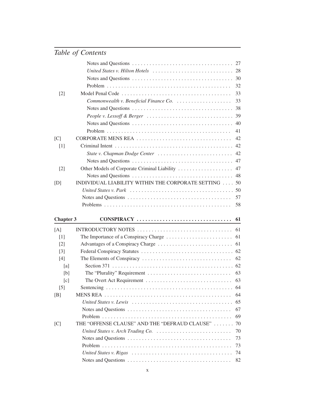|                   |                                                                                                                | 32 |
|-------------------|----------------------------------------------------------------------------------------------------------------|----|
| $[2]$             |                                                                                                                | 33 |
|                   | Commonwealth v. Beneficial Finance Co.                                                                         | 33 |
|                   |                                                                                                                | 38 |
|                   | People v. Lessoff & Berger $\ldots \ldots \ldots \ldots \ldots \ldots \ldots \ldots \ldots$                    | 39 |
|                   |                                                                                                                | 40 |
|                   |                                                                                                                | 41 |
| [C]               | CORPORATE MENS REA                                                                                             | 42 |
| [1]               |                                                                                                                | 42 |
|                   | State v. Chapman Dodge Center                                                                                  | 42 |
|                   |                                                                                                                |    |
| $[2]$             | Other Models of Corporate Criminal Liability                                                                   | 47 |
|                   |                                                                                                                | 48 |
| [D]               | INDIVIDUAL LIABILITY WITHIN THE CORPORATE SETTING  50                                                          |    |
|                   | United States v. Park $\ldots \ldots \ldots \ldots \ldots \ldots \ldots \ldots \ldots \ldots \ldots \ldots 50$ |    |
|                   |                                                                                                                | 57 |
|                   |                                                                                                                | 58 |
|                   |                                                                                                                |    |
| <b>Chapter 3</b>  |                                                                                                                | 61 |
| [A]               |                                                                                                                | 61 |
| $\lceil 1 \rceil$ |                                                                                                                | 61 |
| $\lceil 2 \rceil$ |                                                                                                                | 61 |
| $[3]$             |                                                                                                                |    |
| [4]               |                                                                                                                | 62 |
| [a]               |                                                                                                                |    |
| [b]               |                                                                                                                | 63 |
| [c]               |                                                                                                                | 63 |
| $[5]$             |                                                                                                                |    |
| [B]               |                                                                                                                | 64 |
|                   |                                                                                                                | 65 |
|                   |                                                                                                                | 67 |
|                   |                                                                                                                | 69 |
| [C]               |                                                                                                                | 70 |
|                   | THE "OFFENSE CLAUSE" AND THE "DEFRAUD CLAUSE"                                                                  |    |
|                   |                                                                                                                | 70 |
|                   |                                                                                                                | 73 |
|                   |                                                                                                                | 73 |
|                   |                                                                                                                | 74 |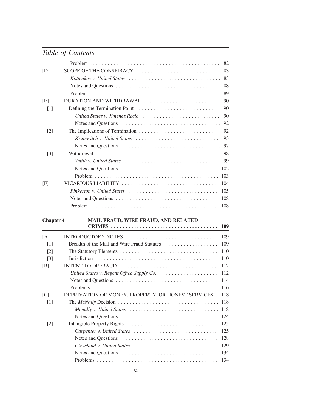| [D]               | SCOPE OF THE CONSPIRACY<br>83                                                                      |
|-------------------|----------------------------------------------------------------------------------------------------|
|                   | 83                                                                                                 |
|                   | 88                                                                                                 |
|                   | 89                                                                                                 |
| [E]               | DURATION AND WITHDRAWAL<br>90                                                                      |
| $[1]$             | 90                                                                                                 |
|                   | 90<br>United States v. Jimenez Recio                                                               |
|                   | 92                                                                                                 |
| $\lceil 2 \rceil$ | 92                                                                                                 |
|                   | 93<br>Krulewitch v. United States $\ldots, \ldots, \ldots, \ldots, \ldots, \ldots, \ldots, \ldots$ |
|                   | 97                                                                                                 |
| $\lceil 3 \rceil$ | 98                                                                                                 |
|                   | 99                                                                                                 |
|                   | 102                                                                                                |
|                   | 103                                                                                                |
| [F]               | 104<br>VICARIOUS LIABILITY                                                                         |
|                   | 105                                                                                                |
|                   | 108                                                                                                |
|                   | 108                                                                                                |
|                   |                                                                                                    |

### **Chapter 4 MAIL FRAUD, WIRE FRAUD, AND RELATED**

|                   |                                                                                                  | 109 |
|-------------------|--------------------------------------------------------------------------------------------------|-----|
| [A]               | INTRODUCTORY NOTES                                                                               | 109 |
| $\lceil 1 \rceil$ |                                                                                                  | 109 |
| $\lceil 2 \rceil$ |                                                                                                  | 110 |
| $\lceil 3 \rceil$ |                                                                                                  | 110 |
| [B]               | INTENT TO DEFRAUD                                                                                | 112 |
|                   | United States v. Regent Office Supply Co. $\ldots \ldots \ldots \ldots \ldots \ldots$            | 112 |
|                   |                                                                                                  | 114 |
|                   |                                                                                                  | 116 |
| [C]               | DEPRIVATION OF MONEY, PROPERTY, OR HONEST SERVICES.                                              | 118 |
| $\lceil 1 \rceil$ |                                                                                                  | 118 |
|                   | Menally v. United States $\ldots \ldots \ldots \ldots \ldots \ldots \ldots \ldots \ldots \ldots$ | 118 |
|                   |                                                                                                  | 124 |
| $\lceil 2 \rceil$ |                                                                                                  | 125 |
|                   |                                                                                                  | 125 |
|                   |                                                                                                  | 128 |
|                   |                                                                                                  | 129 |
|                   |                                                                                                  | 134 |
|                   |                                                                                                  | 134 |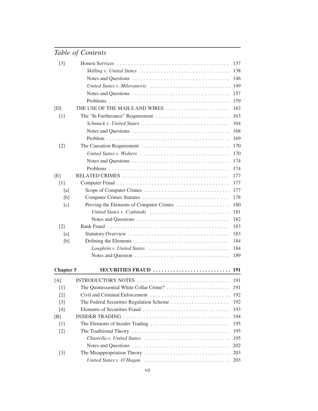| $[3]$             |                                                                                                   | 137        |
|-------------------|---------------------------------------------------------------------------------------------------|------------|
|                   | Skilling v. United States $\ldots \ldots \ldots \ldots \ldots \ldots \ldots \ldots \ldots \ldots$ | 138        |
|                   |                                                                                                   | 146        |
|                   | United States v. Milovanovic                                                                      | 149        |
|                   |                                                                                                   | 157        |
|                   |                                                                                                   | 159        |
| [D]               | THE USE OF THE MAILS AND WIRES                                                                    | 163        |
| $[1]$             |                                                                                                   | 163        |
|                   | Schmuck v. United States                                                                          | 164        |
|                   |                                                                                                   | 168        |
|                   |                                                                                                   | 169        |
| $[2]$             | The Causation Requirement                                                                         | 170        |
|                   |                                                                                                   | 170        |
|                   |                                                                                                   | 174        |
|                   |                                                                                                   | 174        |
| [E]               |                                                                                                   | 177        |
| $[1]$             |                                                                                                   | 177        |
| [a]               |                                                                                                   | 177        |
| [b]               |                                                                                                   | 178        |
| [c]               |                                                                                                   | 180        |
|                   | United States v. Czubinski                                                                        | 181        |
|                   |                                                                                                   | 182        |
| $\lceil 2 \rceil$ |                                                                                                   | 183        |
| [a]               |                                                                                                   | 183        |
| [b]               |                                                                                                   | 184        |
|                   |                                                                                                   | 184        |
|                   |                                                                                                   | 189        |
| <b>Chapter 5</b>  | SECURITIES FRAUD                                                                                  | <b>191</b> |
| [A]               | INTRODUCTORY NOTES                                                                                | 191        |
| $[1]$             |                                                                                                   | 191        |
| $[2]$             | Civil and Criminal Enforcement                                                                    | 192        |
| $[3]$             | The Federal Securities Regulation Scheme                                                          | 192        |
| $[4]$             | Elements of Securities Fraud                                                                      | 193        |
| [B]               |                                                                                                   | 194        |
| $[1]$             | The Elements of Insider Trading                                                                   | 195        |
| $[2]$             |                                                                                                   | 195        |
|                   | Chiarella v. United States                                                                        | 195        |
|                   |                                                                                                   | 202        |
| $[3]$             |                                                                                                   | 203        |
|                   | United States v. O'Hagan                                                                          | 203        |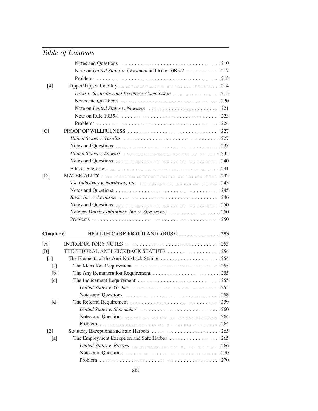|                  |                                                                                            | 210        |
|------------------|--------------------------------------------------------------------------------------------|------------|
|                  | Note on United States v. Chestman and Rule 10B5-2                                          | 212        |
|                  |                                                                                            | 213        |
| $[4]$            |                                                                                            | 214        |
|                  | Dirks v. Securities and Exchange Commission                                                | 215        |
|                  |                                                                                            | 220        |
|                  | Note on United States v. Newman                                                            | 221        |
|                  |                                                                                            | 223        |
|                  |                                                                                            | 224        |
| [C]              | PROOF OF WILLFULNESS                                                                       | 227        |
|                  |                                                                                            | 227        |
|                  |                                                                                            | 233        |
|                  |                                                                                            | 235        |
|                  |                                                                                            | 240        |
|                  |                                                                                            | 241        |
| [D]              |                                                                                            | 242        |
|                  | Tsc Industries v. Northway, Inc. $\ldots \ldots \ldots \ldots \ldots \ldots \ldots \ldots$ | 243        |
|                  |                                                                                            | 245        |
|                  |                                                                                            | 246        |
|                  |                                                                                            | 250        |
|                  | Note on Matrixx Initiatives, Inc. v. Siracusano                                            | 250        |
|                  |                                                                                            | 250        |
| <b>Chapter 6</b> | HEALTH CARE FRAUD AND ABUSE                                                                | 253        |
|                  |                                                                                            |            |
| [A]              |                                                                                            | 253        |
| [B]              | THE FEDERAL ANTI-KICKBACK STATUTE                                                          | 254        |
| $[1]$            | The Elements of the Anti-Kickback Statute                                                  | 254        |
| [a]              |                                                                                            | 255        |
| [b]              |                                                                                            | 255        |
| [c]              |                                                                                            |            |
|                  |                                                                                            |            |
|                  |                                                                                            | 258        |
| [d]              |                                                                                            | 259<br>260 |
|                  | United States v. Shoemaker                                                                 | 264        |
|                  |                                                                                            | 264        |
| $[2]$            | Statutory Exceptions and Safe Harbors                                                      | 265        |
| [a]              |                                                                                            | 265        |
|                  |                                                                                            |            |
|                  |                                                                                            |            |
|                  | United States v. Borrasi                                                                   | 266        |
|                  |                                                                                            | 270<br>270 |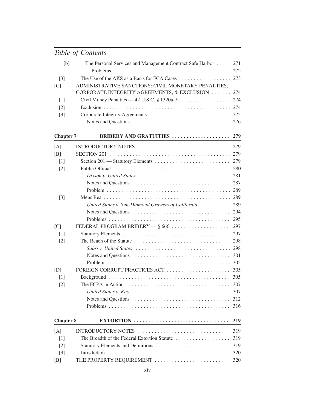| [b]               | The Personal Services and Management Contract Safe Harbor  271                                          |            |
|-------------------|---------------------------------------------------------------------------------------------------------|------------|
|                   |                                                                                                         | 272<br>273 |
| $[3]$             | The Use of the AKS as a Basis for FCA Cases                                                             |            |
| [C]               | ADMINISTRATIVE SANCTIONS: CIVIL MONETARY PENALTIES,<br>CORPORATE INTEGRITY AGREEMENTS, & EXCLUSION  274 |            |
|                   |                                                                                                         |            |
| [1]               | Civil Money Penalties — 42 U.S.C. § 1320a-7a 274                                                        |            |
| $[2]$             |                                                                                                         | 274        |
| $[3]$             |                                                                                                         | 275        |
|                   |                                                                                                         | 276        |
| <b>Chapter 7</b>  | <b>BRIBERY AND GRATUITIES </b>                                                                          | 279        |
| [A]               | INTRODUCTORY NOTES                                                                                      | 279        |
| [B]               |                                                                                                         | 279        |
| $\lceil 1 \rceil$ |                                                                                                         | 279        |
| $\lceil 2 \rceil$ |                                                                                                         | 280        |
|                   |                                                                                                         | 281        |
|                   |                                                                                                         | 287        |
|                   |                                                                                                         | 289        |
| $[3]$             |                                                                                                         | 289        |
|                   | United States v. Sun-Diamond Growers of California                                                      | 289        |
|                   |                                                                                                         | 294        |
|                   |                                                                                                         | 295        |
| [C]               | FEDERAL PROGRAM BRIBERY $-$ § 666 $\ldots$                                                              | 297        |
| [1]               |                                                                                                         | 297        |
| $[2]$             |                                                                                                         | 298        |
|                   | Sabri v. United States                                                                                  | 298        |
|                   |                                                                                                         | 301        |
|                   |                                                                                                         | 305        |
| [D]               | FOREIGN CORRUPT PRACTICES ACT                                                                           | 305        |
| $[1]$             |                                                                                                         | 305        |
| $\lceil 2 \rceil$ | The FCPA in Action $\ldots \ldots \ldots \ldots \ldots \ldots \ldots \ldots \ldots \ldots \ldots$       | 307        |
|                   | United States v. Kay                                                                                    | 307        |
|                   |                                                                                                         | 312        |
|                   |                                                                                                         | 316        |
| <b>Chapter 8</b>  | EXTORTION                                                                                               | 319        |
| [A]               | INTRODUCTORY NOTES                                                                                      | 319        |
| $[1]$             | The Breadth of the Federal Extortion Statute                                                            | 319        |
|                   |                                                                                                         | 319        |
| $\lceil 2 \rceil$ | Statutory Elements and Definitions                                                                      | 320        |
| $[3]$             |                                                                                                         |            |
| [B]               | THE PROPERTY REQUIREMENT                                                                                | 320        |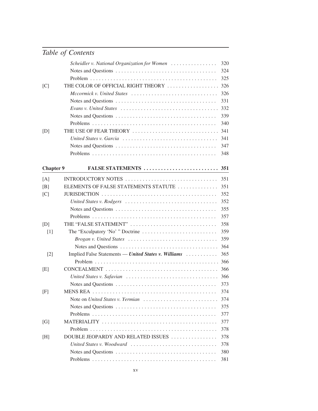|                  | Scheidler v. National Organization for Women         | 320 |
|------------------|------------------------------------------------------|-----|
|                  |                                                      | 324 |
|                  |                                                      | 325 |
| [C]              | THE COLOR OF OFFICIAL RIGHT THEORY                   | 326 |
|                  | Mccormick v. United States                           | 326 |
|                  |                                                      | 331 |
|                  |                                                      | 332 |
|                  |                                                      | 339 |
|                  |                                                      | 340 |
| [D]              | THE USE OF FEAR THEORY                               | 341 |
|                  |                                                      | 341 |
|                  |                                                      | 347 |
|                  |                                                      | 348 |
| <b>Chapter 9</b> | FALSE STATEMENTS                                     | 351 |
| [A]              | INTRODUCTORY NOTES                                   | 351 |
| [B]              | ELEMENTS OF FALSE STATEMENTS STATUTE                 | 351 |
| [C]              |                                                      | 352 |
|                  | United States v. Rodgers                             | 352 |
|                  |                                                      | 355 |
|                  |                                                      | 357 |
| [D]              | THE "FALSE STATEMENT"                                | 358 |
| $[1]$            |                                                      | 359 |
|                  | Brogan v. United States                              | 359 |
|                  |                                                      | 364 |
| $[2]$            | Implied False Statements — United States v. Williams | 365 |
|                  |                                                      | 366 |
| [E]              |                                                      | 366 |
|                  |                                                      | 366 |
|                  |                                                      | 373 |
| [F]              |                                                      | 374 |
|                  | Note on United States v. Yermian                     | 374 |
|                  |                                                      | 375 |
|                  |                                                      | 377 |
| [G]              |                                                      | 377 |
|                  |                                                      | 378 |
| [H]              | DOUBLE JEOPARDY AND RELATED ISSUES                   | 378 |
|                  | United States v. Woodward                            | 378 |
|                  |                                                      | 380 |
|                  |                                                      | 381 |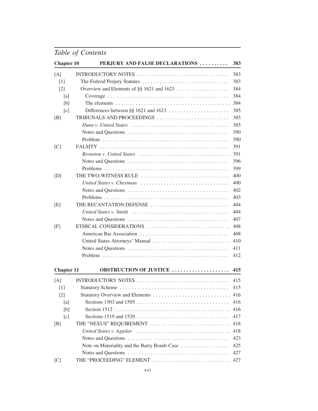| <b>Chapter 10</b> | PERJURY AND FALSE DECLARATIONS               | 383 |
|-------------------|----------------------------------------------|-----|
| [A]               | INTRODUCTORY NOTES                           | 383 |
| [1]               |                                              | 383 |
| $\lceil 2 \rceil$ |                                              | 384 |
| [a]               |                                              | 384 |
| [b]               |                                              | 384 |
| [c]               |                                              | 385 |
| [B]               | TRIBUNALS AND PROCEEDINGS                    | 385 |
|                   |                                              | 385 |
|                   |                                              | 390 |
|                   |                                              | 390 |
| [C]               |                                              | 391 |
|                   |                                              | 391 |
|                   |                                              | 396 |
|                   |                                              | 399 |
| [D]               | THE TWO-WITNESS RULE                         | 400 |
|                   | United States v. Chestman                    | 400 |
|                   |                                              | 402 |
|                   |                                              | 403 |
| [E]               | THE RECANTATION DEFENSE                      | 404 |
|                   |                                              | 404 |
|                   |                                              | 407 |
| [F]               | ETHICAL CONSIDERATIONS                       | 408 |
|                   | American Bar Association                     | 408 |
|                   | United States Attorneys' Manual              | 410 |
|                   |                                              | 411 |
|                   |                                              | 412 |
| <b>Chapter 11</b> | <b>OBSTRUCTION OF JUSTICE </b>               | 415 |
| [A]               |                                              | 415 |
| $[1]$             |                                              | 415 |
| $[2]$             | Statutory Overview and Elements              | 416 |
| [a]               |                                              | 416 |
| [b]               |                                              | 416 |
| [c]               |                                              | 417 |
| [B]               | THE "NEXUS" REQUIREMENT                      | 418 |
|                   |                                              | 418 |
|                   |                                              | 423 |
|                   | Note on Materiality and the Barry Bonds Case | 425 |
|                   |                                              | 427 |
| [C]               | THE "PROCEEDING" ELEMENT                     | 427 |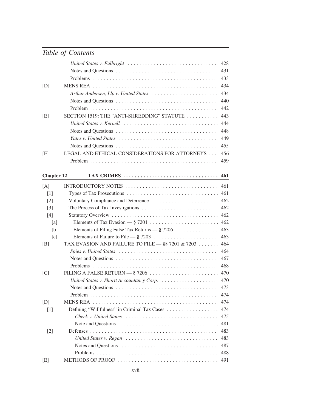|                   | United States v. Fulbright                         | 428 |
|-------------------|----------------------------------------------------|-----|
|                   |                                                    | 431 |
|                   |                                                    | 433 |
| [D]               |                                                    | 434 |
|                   | Arthur Andersen, Llp v. United States              | 434 |
|                   |                                                    | 440 |
|                   |                                                    | 442 |
| [E]               | SECTION 1519: THE "ANTI-SHREDDING" STATUTE         | 443 |
|                   |                                                    | 444 |
|                   |                                                    | 448 |
|                   |                                                    | 449 |
|                   |                                                    | 455 |
| [F]               | LEGAL AND ETHICAL CONSIDERATIONS FOR ATTORNEYS     | 456 |
|                   |                                                    | 459 |
|                   |                                                    |     |
| <b>Chapter 12</b> | TAX CRIMES                                         | 461 |
| [A]               | INTRODUCTORY NOTES                                 | 461 |
| $[1]$             |                                                    | 461 |
| $[2]$             | Voluntary Compliance and Deterrence                | 462 |
| $[3]$             |                                                    | 462 |
| [4]               |                                                    | 462 |
| [a]               |                                                    | 462 |
| [b]               | Elements of Filing False Tax Returns $ \S$ 7206    | 463 |
| [c]               |                                                    | 463 |
| [B]               | TAX EVASION AND FAILURE TO FILE $-$ §§ 7201 & 7203 | 464 |
|                   |                                                    | 464 |
|                   |                                                    | 467 |
|                   |                                                    | 468 |
| [C]               |                                                    | 470 |
|                   |                                                    | 470 |
|                   |                                                    | 473 |
|                   |                                                    | 474 |
| [D]               |                                                    | 474 |
| $[1]$             | Defining "Willfulness" in Criminal Tax Cases       | 474 |
|                   | Cheek v. United States                             | 475 |
|                   |                                                    | 481 |
| $[2]$             |                                                    | 483 |
|                   |                                                    | 483 |
|                   |                                                    | 487 |
|                   |                                                    | 488 |
| [E]               |                                                    | 491 |
|                   |                                                    |     |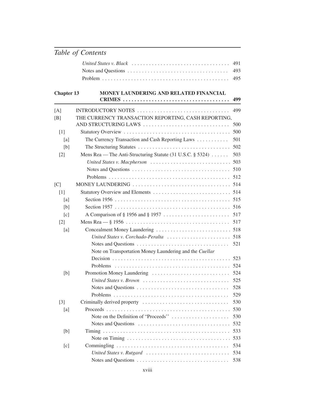### **Chapter 13 MONEY LAUNDERING AND RELATED FINANCIAL CRIMES . . . . . . . . . . . . . . . . . . . . . . . . . . . . . . . . . . . . . 499**

| [A]               | INTRODUCTORY NOTES                                                                              | 499 |
|-------------------|-------------------------------------------------------------------------------------------------|-----|
| [B]               | THE CURRENCY TRANSACTION REPORTING, CASH REPORTING,                                             |     |
|                   | AND STRUCTURING LAWS                                                                            | 500 |
| $[1]$             |                                                                                                 | 500 |
| [a]               | The Currency Transaction and Cash Reporting Laws                                                | 501 |
| [b]               |                                                                                                 | 502 |
| $\lceil 2 \rceil$ | Mens Rea — The Anti-Structuring Statute (31 U.S.C. § 5324)                                      | 503 |
|                   | United States v. Macpherson                                                                     | 503 |
|                   |                                                                                                 | 510 |
|                   |                                                                                                 | 512 |
| [C]               | MONEY LAUNDERING $\ldots \ldots \ldots \ldots \ldots \ldots \ldots \ldots \ldots \ldots \ldots$ | 514 |
| $[1]$             |                                                                                                 |     |
| [a]               |                                                                                                 | 515 |
| [b]               |                                                                                                 | 516 |
| [c]               |                                                                                                 | 517 |
| $[2]$             |                                                                                                 | 517 |
| [a]               |                                                                                                 |     |
|                   | United States v. Corchado-Peralta                                                               | 518 |
|                   |                                                                                                 | 521 |
|                   | Note on Transportation Money Laundering and the Cuellar                                         |     |
|                   |                                                                                                 | 523 |
|                   |                                                                                                 | 524 |
| [b]               | Promotion Money Laundering                                                                      | 524 |
|                   | United States v. Brown                                                                          | 525 |
|                   |                                                                                                 | 528 |
|                   |                                                                                                 | 529 |
| $\lceil 3 \rceil$ | Criminally derived property                                                                     | 530 |
| [a]               |                                                                                                 | 530 |
|                   | Note on the Definition of "Proceeds"                                                            | 530 |
|                   |                                                                                                 | 532 |
| [b]               |                                                                                                 | 533 |
|                   |                                                                                                 | 533 |
| [c]               |                                                                                                 | 534 |
|                   | United States v. Rutgard                                                                        | 534 |
|                   |                                                                                                 | 538 |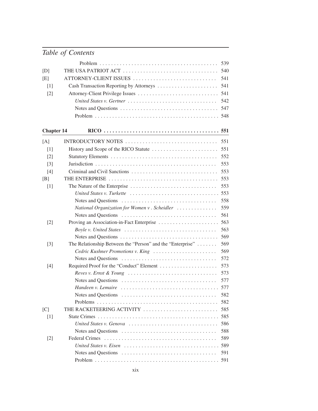|                   |                                                                                                  | 539 |
|-------------------|--------------------------------------------------------------------------------------------------|-----|
| [D]               |                                                                                                  | 540 |
| [E]               | ATTORNEY-CLIENT ISSUES                                                                           | 541 |
| $\lceil 1 \rceil$ | Cash Transaction Reporting by Attorneys                                                          | 541 |
| $[2]$             |                                                                                                  | 541 |
|                   | United States v. Gertner $\ldots \ldots \ldots \ldots \ldots \ldots \ldots \ldots \ldots \ldots$ | 542 |
|                   |                                                                                                  | 547 |
|                   |                                                                                                  | 548 |
| <b>Chapter 14</b> |                                                                                                  |     |
| [A]               | INTRODUCTORY NOTES                                                                               | 551 |
| $[1]$             |                                                                                                  | 551 |
| $[2]$             |                                                                                                  | 552 |
| $\lceil 3 \rceil$ |                                                                                                  | 553 |
| $[4]$             |                                                                                                  | 553 |
| [B]               |                                                                                                  | 553 |
| $[1]$             |                                                                                                  | 553 |
|                   | United States v. Turkette                                                                        | 553 |
|                   |                                                                                                  | 558 |
|                   | National Organization for Women v. Scheidler                                                     | 559 |
|                   |                                                                                                  | 561 |
| $[2]$             | Proving an Association-in-Fact Enterprise                                                        | 563 |
|                   |                                                                                                  | 563 |
|                   |                                                                                                  | 569 |
| $[3]$             | The Relationship Between the "Person" and the "Enterprise"                                       | 569 |
|                   | Cedric Kushner Promotions v. King                                                                | 569 |
|                   |                                                                                                  | 572 |
| $[4]$             |                                                                                                  | 573 |
|                   | Reves v. Ernst & Young $\ldots \ldots \ldots \ldots \ldots \ldots \ldots \ldots \ldots \ldots$   | 573 |
|                   |                                                                                                  | 577 |
|                   |                                                                                                  |     |
|                   |                                                                                                  | 582 |
|                   |                                                                                                  | 582 |
| [C]               | THE RACKETEERING ACTIVITY                                                                        | 585 |
| $[1]$             |                                                                                                  | 585 |
|                   | United States v. Genova                                                                          | 586 |
|                   |                                                                                                  | 588 |
| $[2]$             |                                                                                                  | 589 |
|                   |                                                                                                  | 589 |
|                   |                                                                                                  | 591 |
|                   |                                                                                                  |     |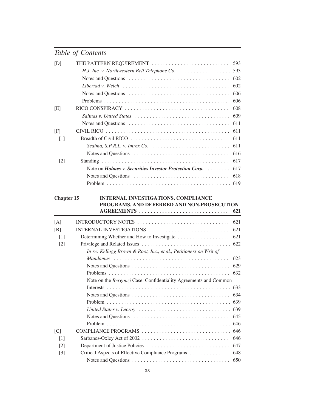| [D]               | THE PATTERN REQUIREMENT                                                                          | 593 |
|-------------------|--------------------------------------------------------------------------------------------------|-----|
|                   |                                                                                                  | 593 |
|                   |                                                                                                  | 602 |
|                   | Libertad v. Welch $\ldots \ldots \ldots \ldots \ldots \ldots \ldots \ldots \ldots \ldots \ldots$ | 602 |
|                   |                                                                                                  | 606 |
|                   |                                                                                                  | 606 |
| [E]               |                                                                                                  | 608 |
|                   | Salinas v. United States                                                                         | 609 |
|                   |                                                                                                  | 611 |
| [F]               |                                                                                                  | 611 |
| $[1]$             |                                                                                                  | 611 |
|                   | Sedima, S.P.R.L. v. Imrex Co. $\ldots \ldots \ldots \ldots \ldots \ldots \ldots \ldots$          | 611 |
|                   |                                                                                                  | 616 |
| $\lceil 2 \rceil$ |                                                                                                  | 617 |
|                   | Note on <i>Holmes v. Securities Investor Protection Corp.</i>                                    | 617 |
|                   |                                                                                                  | 618 |
|                   |                                                                                                  | 619 |
| <b>Chapter 15</b> | <b>INTERNAL INVESTIGATIONS, COMPLIANCE</b>                                                       |     |
|                   | PROGRAMS, AND DEFERRED AND NON-PROSECUTION                                                       |     |
|                   | AGREEMENTS                                                                                       | 621 |
| [A]               |                                                                                                  | 621 |
| [B]               | INTERNAL INVESTIGATIONS                                                                          | 621 |
| $\lceil 1 \rceil$ |                                                                                                  | 621 |
| $[2]$             |                                                                                                  | 622 |
|                   | In re: Kellogg Brown & Root, Inc., et al., Petitioners on Writ of                                |     |
|                   |                                                                                                  | 623 |
|                   |                                                                                                  | 629 |
|                   |                                                                                                  | 632 |
|                   | Note on the Bergonzi Case: Confidentiality Agreements and Common                                 |     |
|                   |                                                                                                  |     |
|                   |                                                                                                  | 634 |
|                   |                                                                                                  | 639 |
|                   | United States v. Lecroy                                                                          | 639 |
|                   |                                                                                                  | 645 |
|                   |                                                                                                  | 646 |
| [C]               |                                                                                                  | 646 |
| $[1]$             |                                                                                                  |     |
| $[2]$             | COMPLIANCE PROGRAMS                                                                              | 646 |
|                   |                                                                                                  | 647 |
| $[3]$             | Critical Aspects of Effective Compliance Programs                                                | 648 |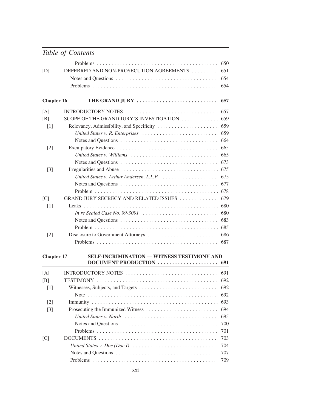|                   |                                                                                         | 650 |
|-------------------|-----------------------------------------------------------------------------------------|-----|
| [D]               | DEFERRED AND NON-PROSECUTION AGREEMENTS                                                 | 651 |
|                   |                                                                                         | 654 |
|                   |                                                                                         | 654 |
| <b>Chapter 16</b> | THE GRAND JURY                                                                          | 657 |
| [A]               | INTRODUCTORY NOTES                                                                      | 657 |
| [B]               | SCOPE OF THE GRAND JURY'S INVESTIGATION                                                 | 659 |
| $[1]$             | Relevancy, Admissibility, and Specificity                                               | 659 |
|                   | United States v. R. Enterprises                                                         | 659 |
|                   |                                                                                         | 664 |
| $[2]$             |                                                                                         | 665 |
|                   | United States v. Williams                                                               | 665 |
|                   |                                                                                         | 673 |
| $[3]$             |                                                                                         |     |
|                   |                                                                                         | 675 |
|                   |                                                                                         | 677 |
|                   |                                                                                         | 678 |
| [C]               | GRAND JURY SECRECY AND RELATED ISSUES                                                   | 679 |
| [1]               |                                                                                         | 680 |
|                   | In re Sealed Case No. 99-3091 $\ldots \ldots \ldots \ldots \ldots \ldots \ldots \ldots$ | 680 |
|                   |                                                                                         | 683 |
|                   |                                                                                         | 685 |
| $[2]$             | Disclosure to Government Attorneys                                                      | 686 |
|                   |                                                                                         | 687 |
| <b>Chapter 17</b> | SELF-INCRIMINATION - WITNESS TESTIMONY AND<br>DOCUMENT PRODUCTION                       | 691 |
|                   |                                                                                         |     |
| [A]               | INTRODUCTORY NOTES                                                                      | 691 |
| [B]               |                                                                                         | 692 |
| [1]               |                                                                                         | 692 |
|                   |                                                                                         | 692 |
| $\lceil 2 \rceil$ |                                                                                         | 693 |
| $[3]$             |                                                                                         | 694 |
|                   | United States v. North                                                                  | 695 |
|                   |                                                                                         | 700 |
|                   |                                                                                         | 701 |
| [C]               |                                                                                         | 703 |
|                   |                                                                                         | 704 |
|                   |                                                                                         | 707 |
|                   |                                                                                         | 709 |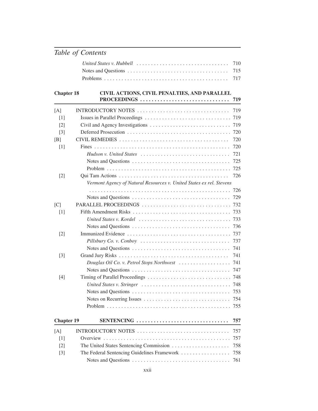### **Chapter 18 CIVIL ACTIONS, CIVIL PENALTIES, AND PARALLEL PROCEEDINGS . . . . . . . . . . . . . . . . . . . . . . . . . . . . . . . 719**

|                   |                                                                                | ,,, |
|-------------------|--------------------------------------------------------------------------------|-----|
| [A]               |                                                                                | 719 |
| [1]               | Issues in Parallel Proceedings                                                 | 719 |
| [2]               |                                                                                | 719 |
| $[3]$             |                                                                                | 720 |
| [B]               |                                                                                | 720 |
| [1]               |                                                                                | 720 |
|                   | Hudson v. United States                                                        | 721 |
|                   |                                                                                | 725 |
|                   |                                                                                | 725 |
| $\lceil 2 \rceil$ |                                                                                | 726 |
|                   | Vermont Agency of Natural Resources v. United States ex rel. Stevens           |     |
|                   |                                                                                | 726 |
|                   |                                                                                | 729 |
| [C]               | PARALLEL PROCEEDINGS                                                           | 732 |
| [1]               |                                                                                | 733 |
|                   | United States v. Kordel                                                        | 733 |
|                   |                                                                                | 736 |
| $\lceil 2 \rceil$ |                                                                                | 737 |
|                   | Pillsbury Co. v. Conboy                                                        | 737 |
|                   |                                                                                | 741 |
| $[3]$             |                                                                                | 741 |
|                   | Douglas Oil Co. v. Petrol Stops Northwest $\ldots \ldots \ldots \ldots \ldots$ | 741 |
|                   |                                                                                | 747 |
| [4]               |                                                                                | 748 |
|                   | United States v. Stringer                                                      | 748 |
|                   |                                                                                | 753 |
|                   |                                                                                | 754 |
|                   |                                                                                | 755 |
| <b>Chapter 19</b> | SENTENCING                                                                     | 757 |
| [A]               | INTRODUCTORY NOTES                                                             | 757 |
| [1]               |                                                                                | 757 |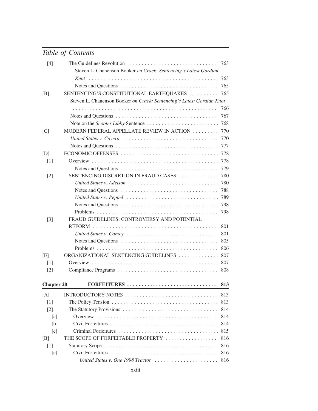| $[4]$             | The Guidelines Revolution                                             | 763        |
|-------------------|-----------------------------------------------------------------------|------------|
|                   | Steven L. Chanenson Booker on Crack: Sentencing's Latest Gordian      |            |
|                   |                                                                       | 763<br>765 |
|                   |                                                                       |            |
| [B]               | SENTENCING'S CONSTITUTIONAL EARTHQUAKES                               | 765        |
|                   | Steven L. Chanenson Booker on Crack: Sentencing's Latest Gordian Knot |            |
|                   |                                                                       | 766        |
|                   |                                                                       | 767        |
|                   |                                                                       | 768        |
| [C]               | MODERN FEDERAL APPELLATE REVIEW IN ACTION                             | 770        |
|                   |                                                                       | 770        |
|                   |                                                                       | 777        |
| [D]               |                                                                       | 778        |
| $[1]$             |                                                                       | 778        |
|                   |                                                                       | 779        |
| $[2]$             | SENTENCING DISCRETION IN FRAUD CASES                                  | 780        |
|                   | United States v. Adelson                                              | 780        |
|                   |                                                                       | 788        |
|                   |                                                                       | 789        |
|                   |                                                                       | 798        |
|                   |                                                                       | 798        |
| $[3]$             | FRAUD GUIDELINES: CONTROVERSY AND POTENTIAL                           |            |
|                   |                                                                       | 801        |
|                   | United States v. Corsey                                               | 801        |
|                   |                                                                       | 805        |
|                   |                                                                       | 806        |
| [E]               | ORGANIZATIONAL SENTENCING GUIDELINES                                  | 807        |
| $\lceil 1 \rceil$ |                                                                       | 807        |
| $[2]$             |                                                                       | 808        |
| <b>Chapter 20</b> | FORFEITURES                                                           | 813        |
| [A]               | INTRODUCTORY NOTES                                                    | 813        |
| $[1]$             |                                                                       | 813        |
| $\lceil 2 \rceil$ |                                                                       | 814        |
| [a]               |                                                                       | 814        |
| [b]               |                                                                       | 814        |
| [c]               |                                                                       | 815        |
| [B]               | THE SCOPE OF FORFEITABLE PROPERTY                                     | 816        |
| $[1]$             |                                                                       | 816        |
| [a]               |                                                                       | 816        |
|                   | United States v. One 1998 Tractor                                     | 816        |